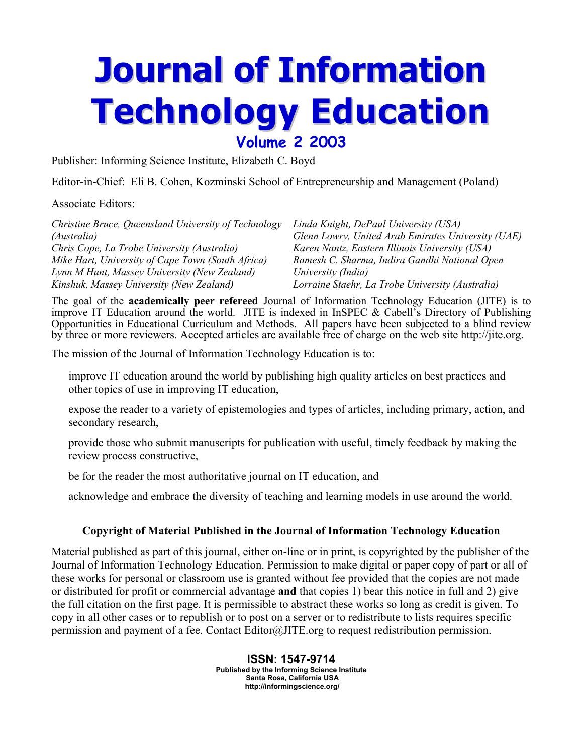## **Journal of Information Technology Education Volume 2 2003**

Publisher: Informing Science Institute, Elizabeth C. Boyd

Editor-in-Chief: Eli B. Cohen, Kozminski School of Entrepreneurship and Management (Poland)

Associate Editors:

| Christine Bruce, Queensland University of Technology | Linda Knight, DePaul University (USA)              |
|------------------------------------------------------|----------------------------------------------------|
| (Australia)                                          | Glenn Lowry, United Arab Emirates University (UAE) |
| Chris Cope, La Trobe University (Australia)          | Karen Nantz, Eastern Illinois University (USA)     |
| Mike Hart, University of Cape Town (South Africa)    | Ramesh C. Sharma, Indira Gandhi National Open      |
| Lynn M Hunt, Massey University (New Zealand)         | University (India)                                 |
| Kinshuk, Massey University (New Zealand)             | Lorraine Staehr, La Trobe University (Australia)   |

The goal of the **academically peer refereed** Journal of Information Technology Education (JITE) is to improve IT Education around the world. JITE is indexed in InSPEC & Cabell's Directory of Publishing Opportunities in Educational Curriculum and Methods. All papers have been subjected to a blind review by three or more reviewers. Accepted articles are available free of charge on the web site http://jite.org.

The mission of the Journal of Information Technology Education is to:

improve IT education around the world by publishing high quality articles on best practices and other topics of use in improving IT education,

expose the reader to a variety of epistemologies and types of articles, including primary, action, and secondary research,

provide those who submit manuscripts for publication with useful, timely feedback by making the review process constructive,

be for the reader the most authoritative journal on IT education, and

acknowledge and embrace the diversity of teaching and learning models in use around the world.

## **Copyright of Material Published in the Journal of Information Technology Education**

Material published as part of this journal, either on-line or in print, is copyrighted by the publisher of the Journal of Information Technology Education. Permission to make digital or paper copy of part or all of these works for personal or classroom use is granted without fee provided that the copies are not made or distributed for profit or commercial advantage **and** that copies 1) bear this notice in full and 2) give the full citation on the first page. It is permissible to abstract these works so long as credit is given. To copy in all other cases or to republish or to post on a server or to redistribute to lists requires specific permission and payment of a fee. Contact Editor@JITE.org to request redistribution permission.

> **ISSN: 1547-9714 Published by the Informing Science Institute Santa Rosa, California USA http://informingscience.org/**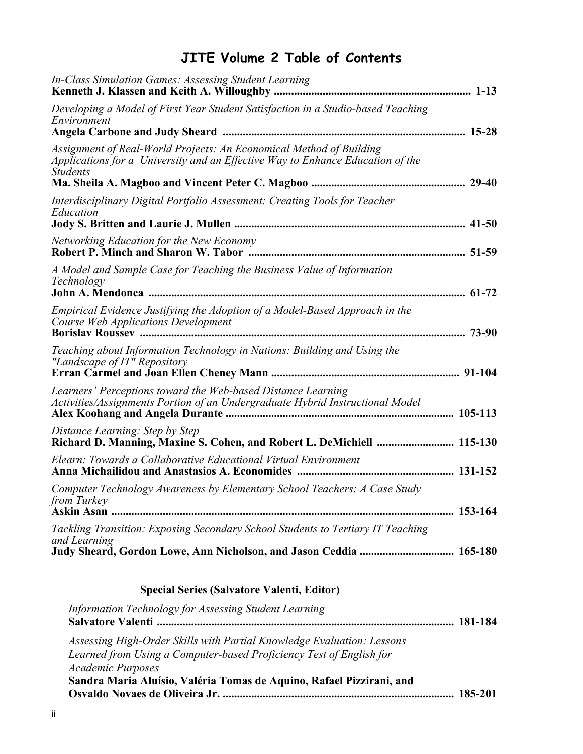## **JITE Volume 2 Table of Contents**

| and Learning<br>Judy Sheard, Gordon Lowe, Ann Nicholson, and Jason Ceddia  165-180                                                                                       |  |
|--------------------------------------------------------------------------------------------------------------------------------------------------------------------------|--|
| <i>from Turkey</i> Theory<br>Tackling Transition: Exposing Secondary School Students to Tertiary IT Teaching                                                             |  |
| Elearn: Towards a Collaborative Educational Virtual Environment<br>Computer Technology Awareness by Elementary School Teachers: A Case Study                             |  |
| Distance Learning: Step by Step<br>Richard D. Manning, Maxine S. Cohen, and Robert L. DeMichiell  115-130                                                                |  |
| Learners' Perceptions toward the Web-based Distance Learning<br>Activities/Assignments Portion of an Undergraduate Hybrid Instructional Model                            |  |
| Teaching about Information Technology in Nations: Building and Using the<br>"Landscape of IT" Repository                                                                 |  |
| Empirical Evidence Justifying the Adoption of a Model-Based Approach in the<br>Course Web Applications Development                                                       |  |
| A Model and Sample Case for Teaching the Business Value of Information<br>Technology                                                                                     |  |
| <b>Networking Education for the New Economy</b>                                                                                                                          |  |
| Interdisciplinary Digital Portfolio Assessment: Creating Tools for Teacher<br>Education                                                                                  |  |
| Assignment of Real-World Projects: An Economical Method of Building<br>Applications for a University and an Effective Way to Enhance Education of the<br><b>Students</b> |  |
| Developing a Model of First Year Student Satisfaction in a Studio-based Teaching<br>Environment                                                                          |  |
| In-Class Simulation Games: Assessing Student Learning                                                                                                                    |  |

| Information Technology for Assessing Student Learning                                                                                                                     |  |
|---------------------------------------------------------------------------------------------------------------------------------------------------------------------------|--|
| Assessing High-Order Skills with Partial Knowledge Evaluation: Lessons<br>Learned from Using a Computer-based Proficiency Test of English for<br><b>Academic Purposes</b> |  |
| Sandra Maria Aluísio, Valéria Tomas de Aquino, Rafael Pizzirani, and                                                                                                      |  |